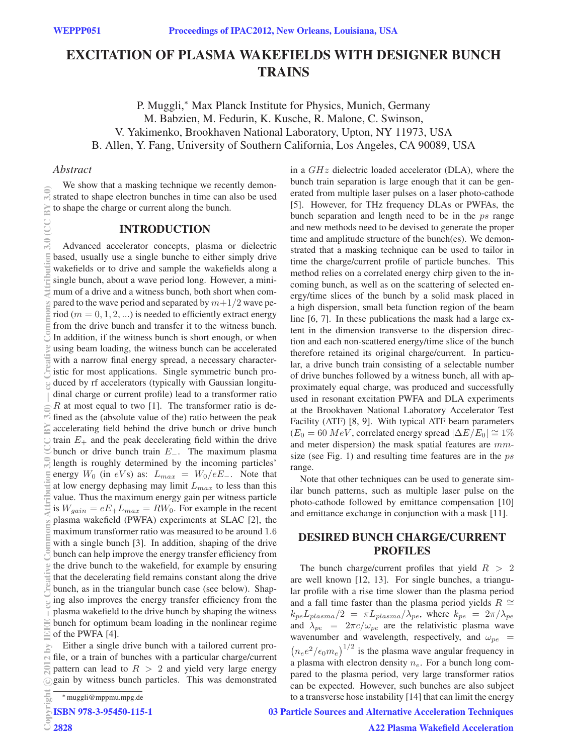# EXCITATION OF PLASMA WAKEFIELDS WITH DESIGNER BUNCH TRAINS

P. Muggli,<sup>∗</sup> Max Planck Institute for Physics, Munich, Germany M. Babzien, M. Fedurin, K. Kusche, R. Malone, C. Swinson, V. Yakimenko, Brookhaven National Laboratory, Upton, NY 11973, USA B. Allen, Y. Fang, University of Southern California, Los Angeles, CA 90089, USA

### *Abstract*

We show that a masking technique we recently demonstrated to shape electron bunches in time can also be used to shape the charge or current along the bunch.

#### INTRODUCTION

Advanced accelerator concepts, plasma or dielectric based, usually use a single bunche to either simply drive wakefields or to drive and sample the wakefields along a single bunch, about a wave period long. However, a minimum of a drive and a witness bunch, both short when compared to the wave period and separated by  $m+1/2$  wave period ( $m = 0, 1, 2, ...$ ) is needed to efficiently extract energy from the drive bunch and transfer it to the witness bunch. In addition, if the witness bunch is short enough, or when using beam loading, the witness bunch can be accelerated with a narrow final energy spread, a necessary characteristic for most applications. Single symmetric bunch produced by rf accelerators (typically with Gaussian longitudinal charge or current profile) lead to a transformer ratio  $R$  at most equal to two [1]. The transformer ratio is defined as the (absolute value of the) ratio between the peak accelerating field behind the drive bunch or drive bunch train  $E_{+}$  and the peak decelerating field within the drive bunch or drive bunch train <sup>E</sup>−. The maximum plasma length is roughly determined by the incoming particles' energy  $W_0$  (in eVs) as:  $L_{max} = W_0/eE_$ . Note that at low energy dephasing may limit  $L_{max}$  to less than this value. Thus the maximum energy gain per witness particle is  $W_{gain} = eE_+L_{max} = RW_0$ . For example in the recent plasma wakefield (PWFA) experiments at SLAC [2], the maximum transformer ratio was measured to be around 1.6 with a single bunch [3]. In addition, shaping of the drive bunch can help improve the energy transfer efficiency from the drive bunch to the wakefield, for example by ensuring that the decelerating field remains constant along the drive bunch, as in the triangular bunch case (see below). Shaping also improves the energy transfer efficiency from the plasma wakefield to the drive bunch by shaping the witness bunch for optimum beam loading in the nonlinear regime of the PWFA [4]. (0)\$ Attribution sattribution 3.0 lived); 2012 by ISE data is plane at w.is plane w.b. plane by Sattribution 3.0 (CC BY 3.0) 。 http://www.b. html at at w.is plane w.b. plane by By gate by By gate by By gate Data is plane

Either a single drive bunch with a tailored current profile, or a train of bunches with a particular charge/current pattern can lead to  $R > 2$  and yield very large energy gain by witness bunch particles. This was demonstrated c○

in a  $GHz$  dielectric loaded accelerator (DLA), where the bunch train separation is large enough that it can be generated from multiple laser pulses on a laser photo-cathode [5]. However, for THz frequency DLAs or PWFAs, the bunch separation and length need to be in the ps range and new methods need to be devised to generate the proper time and amplitude structure of the bunch(es). We demonstrated that a masking technique can be used to tailor in time the charge/current profile of particle bunches. This method relies on a correlated energy chirp given to the incoming bunch, as well as on the scattering of selected energy/time slices of the bunch by a solid mask placed in a high dispersion, small beta function region of the beam line [6, 7]. In these publications the mask had a large extent in the dimension transverse to the dispersion direction and each non-scattered energy/time slice of the bunch therefore retained its original charge/current. In particular, a drive bunch train consisting of a selectable number of drive bunches followed by a witness bunch, all with approximately equal charge, was produced and successfully used in resonant excitation PWFA and DLA experiments at the Brookhaven National Laboratory Accelerator Test Facility (ATF) [8, 9]. With typical ATF beam parameters  $(E_0 = 60 \; MeV$ , correlated energy spread  $|\Delta E/E_0| \approx 1\%$ and meter dispersion) the mask spatial features are mmsize (see Fig. 1) and resulting time features are in the  $ps$ range.

Note that other techniques can be used to generate similar bunch patterns, such as multiple laser pulse on the photo-cathode followed by emittance compensation [10] and emittance exchange in conjunction with a mask [11].

### DESIRED BUNCH CHARGE/CURRENT PROFILES

The bunch charge/current profiles that yield  $R > 2$ are well known [12, 13]. For single bunches, a triangular profile with a rise time slower than the plasma period and a fall time faster than the plasma period yields  $R \cong$  $k_{pe}L_{plasma}/2 = \pi L_{plasma}/\lambda_{pe}$ , where  $k_{pe} = 2\pi/\lambda_{pe}$ and  $\lambda_{pe} = 2\pi c/\omega_{pe}$  are the relativistic plasma wave<br>wavenumber and wavelength, respectively, and  $\omega_{pe}$ wavenumber and wavelength, respectively, and  $\omega_{pe} = (n_e e^2/\epsilon_0 m_e)^{1/2}$  is the plasma wave angular frequency in  $(n_e e^2/\epsilon_0 m_e)^{1/2}$  is the plasma wave angular frequency in a plasma with electron density  $n_e$ . For a bunch long compared to the plasma period, very large transformer ratios can be expected. However, such bunches are also subject to a transverse hose instability [14] that can limit the energy

### 03 Particle Sources and Alternative Acceleration Techniques

<sup>∗</sup>muggli@mppmu.mpg.de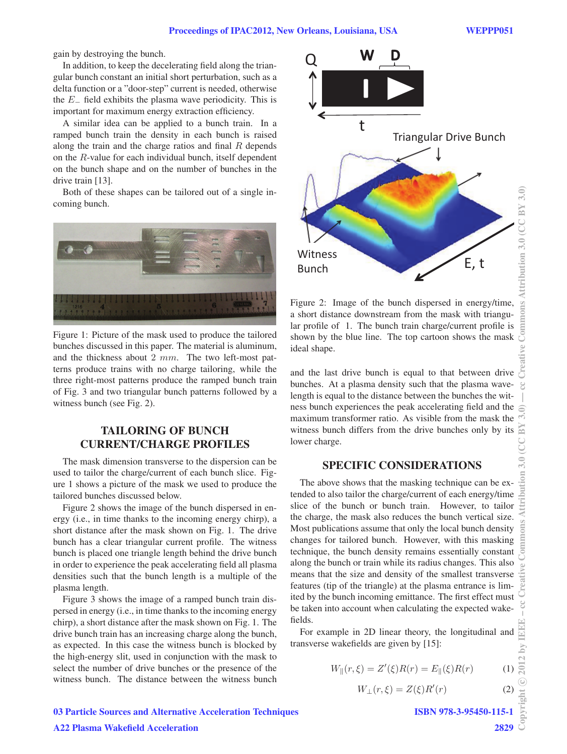gain by destroying the bunch.

In addition, to keep the decelerating field along the triangular bunch constant an initial short perturbation, such as a delta function or a "door-step" current is needed, otherwise the  $E_$  field exhibits the plasma wave periodicity. This is important for maximum energy extraction efficiency.

A similar idea can be applied to a bunch train. In a ramped bunch train the density in each bunch is raised along the train and the charge ratios and final  $R$  depends on the R-value for each individual bunch, itself dependent on the bunch shape and on the number of bunches in the drive train [13].

Both of these shapes can be tailored out of a single incoming bunch.



Figure 1: Picture of the mask used to produce the tailored bunches discussed in this paper. The material is aluminum, and the thickness about 2 mm. The two left-most patterns produce trains with no charge tailoring, while the three right-most patterns produce the ramped bunch train of Fig. 3 and two triangular bunch patterns followed by a witness bunch (see Fig. 2).

## TAILORING OF BUNCH CURRENT/CHARGE PROFILES

The mask dimension transverse to the dispersion can be used to tailor the charge/current of each bunch slice. Figure 1 shows a picture of the mask we used to produce the tailored bunches discussed below.

Figure 2 shows the image of the bunch dispersed in energy (i.e., in time thanks to the incoming energy chirp), a short distance after the mask shown on Fig. 1. The drive bunch has a clear triangular current profile. The witness bunch is placed one triangle length behind the drive bunch in order to experience the peak accelerating field all plasma densities such that the bunch length is a multiple of the plasma length.

Figure 3 shows the image of a ramped bunch train dispersed in energy (i.e., in time thanks to the incoming energy chirp), a short distance after the mask shown on Fig. 1. The drive bunch train has an increasing charge along the bunch, as expected. In this case the witness bunch is blocked by the high-energy slit, used in conjunction with the mask to select the number of drive bunches or the presence of the witness bunch. The distance between the witness bunch



Figure 2: Image of the bunch dispersed in energy/time, a short distance downstream from the mask with triangular profile of 1. The bunch train charge/current profile is shown by the blue line. The top cartoon shows the mask ideal shape.

and the last drive bunch is equal to that between drive bunches. At a plasma density such that the plasma wavelength is equal to the distance between the bunches the witness bunch experiences the peak accelerating field and the maximum transformer ratio. As visible from the mask the witness bunch differs from the drive bunches only by its lower charge.

#### SPECIFIC CONSIDERATIONS

The above shows that the masking technique can be extended to also tailor the charge/current of each energy/time slice of the bunch or bunch train. However, to tailor the charge, the mask also reduces the bunch vertical size. Most publications assume that only the local bunch density changes for tailored bunch. However, with this masking technique, the bunch density remains essentially constant along the bunch or train while its radius changes. This also means that the size and density of the smallest transverse features (tip of the triangle) at the plasma entrance is limited by the bunch incoming emittance. The first effect must be taken into account when calculating the expected wakefields.

For example in 2D linear theory, the longitudinal and transverse wakefields are given by [15]:

$$
W_{\parallel}(r,\xi) = Z'(\xi)R(r) = E_{\parallel}(\xi)R(r)
$$
 (1)

$$
W_{\perp}(r,\xi) = Z(\xi)R'(r) \tag{2}
$$

ISBN 978-3-95450-115-1